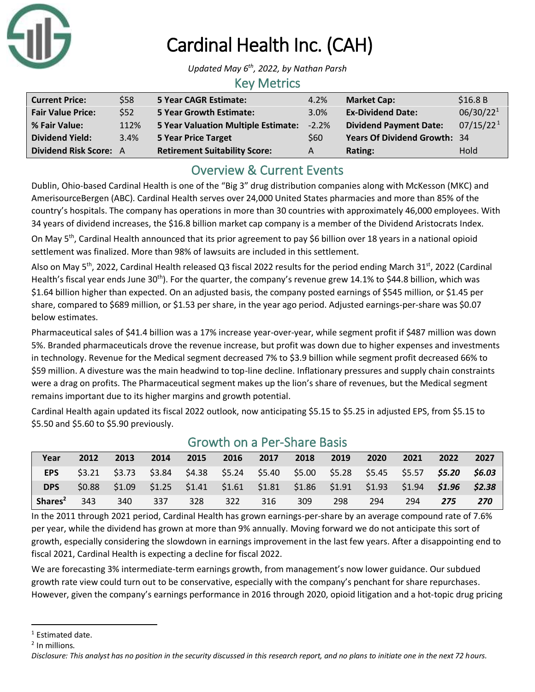

# Cardinal Health Inc. (CAH)

*Updated May 6 th , 2022, by Nathan Parsh*

#### Key Metrics

| <b>Current Price:</b>         | \$58 | <b>5 Year CAGR Estimate:</b>         | 4.2%     | <b>Market Cap:</b>            | \$16.8B               |
|-------------------------------|------|--------------------------------------|----------|-------------------------------|-----------------------|
| <b>Fair Value Price:</b>      | \$52 | <b>5 Year Growth Estimate:</b>       | 3.0%     | <b>Ex-Dividend Date:</b>      | 06/30/22 <sup>1</sup> |
| % Fair Value:                 | 112% | 5 Year Valuation Multiple Estimate:  | $-2.2\%$ | <b>Dividend Payment Date:</b> | 07/15/22 <sup>1</sup> |
| <b>Dividend Yield:</b>        | 3.4% | <b>5 Year Price Target</b>           | \$60     | Years Of Dividend Growth: 34  |                       |
| <b>Dividend Risk Score: A</b> |      | <b>Retirement Suitability Score:</b> | A        | Rating:                       | Hold                  |

# Overview & Current Events

Dublin, Ohio-based Cardinal Health is one of the "Big 3" drug distribution companies along with McKesson (MKC) and AmerisourceBergen (ABC). Cardinal Health serves over 24,000 United States pharmacies and more than 85% of the country's hospitals. The company has operations in more than 30 countries with approximately 46,000 employees. With 34 years of dividend increases, the \$16.8 billion market cap company is a member of the Dividend Aristocrats Index.

On May 5<sup>th</sup>, Cardinal Health announced that its prior agreement to pay \$6 billion over 18 years in a national opioid settlement was finalized. More than 98% of lawsuits are included in this settlement.

Also on May 5<sup>th</sup>, 2022, Cardinal Health released Q3 fiscal 2022 results for the period ending March 31<sup>st</sup>, 2022 (Cardinal Health's fiscal year ends June 30<sup>th</sup>). For the quarter, the company's revenue grew 14.1% to \$44.8 billion, which was \$1.64 billion higher than expected. On an adjusted basis, the company posted earnings of \$545 million, or \$1.45 per share, compared to \$689 million, or \$1.53 per share, in the year ago period. Adjusted earnings-per-share was \$0.07 below estimates.

Pharmaceutical sales of \$41.4 billion was a 17% increase year-over-year, while segment profit if \$487 million was down 5%. Branded pharmaceuticals drove the revenue increase, but profit was down due to higher expenses and investments in technology. Revenue for the Medical segment decreased 7% to \$3.9 billion while segment profit decreased 66% to \$59 million. A divesture was the main headwind to top-line decline. Inflationary pressures and supply chain constraints were a drag on profits. The Pharmaceutical segment makes up the lion's share of revenues, but the Medical segment remains important due to its higher margins and growth potential.

Cardinal Health again updated its fiscal 2022 outlook, now anticipating \$5.15 to \$5.25 in adjusted EPS, from \$5.15 to \$5.50 and \$5.60 to \$5.90 previously.

| Year                | 2012 | 2013 | 2014 | 2015 |        | 2016 2017 | 2018 | 2019  | 2020                                                                                            | 2021 | 2022 | 2027 |
|---------------------|------|------|------|------|--------|-----------|------|-------|-------------------------------------------------------------------------------------------------|------|------|------|
| <b>EPS</b>          |      |      |      |      |        |           |      |       | $$3.21$ $$3.73$ $$3.84$ $$4.38$ $$5.24$ $$5.40$ $$5.00$ $$5.28$ $$5.45$ $$5.57$ $$5.20$ $$6.03$ |      |      |      |
| <b>DPS</b>          |      |      |      |      |        |           |      |       | $$0.88$ $$1.09$ $$1.25$ $$1.41$ $$1.61$ $$1.81$ $$1.86$ $$1.91$ $$1.93$ $$1.94$ $$1.96$ $$2.38$ |      |      |      |
| Shares <sup>2</sup> | 343  | 340  | 337  | 328  | $-322$ | 316       | 309  | - 298 | -294                                                                                            | 294  | 275  | 270  |

### Growth on a Per-Share Basis

In the 2011 through 2021 period, Cardinal Health has grown earnings-per-share by an average compound rate of 7.6% per year, while the dividend has grown at more than 9% annually. Moving forward we do not anticipate this sort of growth, especially considering the slowdown in earnings improvement in the last few years. After a disappointing end to fiscal 2021, Cardinal Health is expecting a decline for fiscal 2022.

We are forecasting 3% intermediate-term earnings growth, from management's now lower guidance. Our subdued growth rate view could turn out to be conservative, especially with the company's penchant for share repurchases. However, given the company's earnings performance in 2016 through 2020, opioid litigation and a hot-topic drug pricing

<sup>&</sup>lt;sup>1</sup> Estimated date.

<sup>&</sup>lt;sup>2</sup> In millions.

*Disclosure: This analyst has no position in the security discussed in this research report, and no plans to initiate one in the next 72 hours.*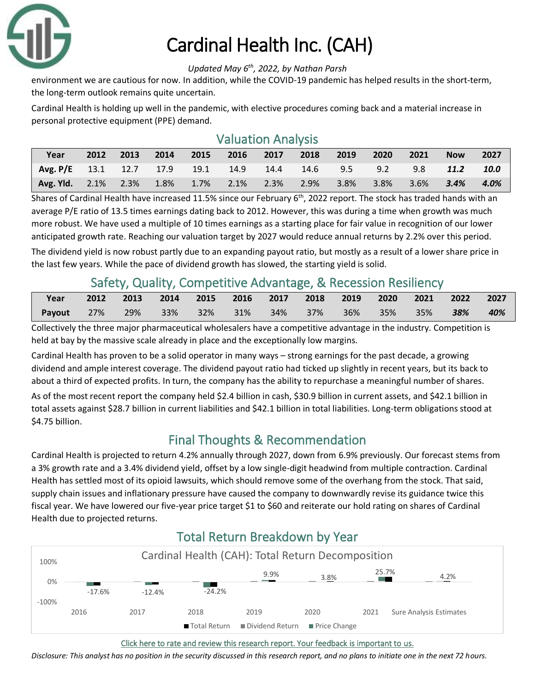

# Cardinal Health Inc. (CAH)

#### *Updated May 6 th , 2022, by Nathan Parsh*

environment we are cautious for now. In addition, while the COVID-19 pandemic has helped results in the short-term, the long-term outlook remains quite uncertain.

Cardinal Health is holding up well in the pandemic, with elective procedures coming back and a material increase in personal protective equipment (PPE) demand.

| <b>Valuation Analysis</b>  |      |      |      |         |      |      |      |      |      |         |             |      |
|----------------------------|------|------|------|---------|------|------|------|------|------|---------|-------------|------|
| Year                       | 2012 | 2013 | 2014 | 2015    | 2016 | 2017 | 2018 | 2019 | 2020 | 2021    | <b>Now</b>  | 2027 |
| Avg. $P/E$ 13.1 12.7 17.9  |      |      |      | $-19.1$ | 14.9 | 14.4 | 14.6 | 9.5  | 9.2  | 9.8     | <b>11.2</b> | 10.0 |
| <b>Avg. Yld.</b> 2.1% 2.3% |      |      | 1.8% | $1.7\%$ | 2.1% | 2.3% | 2.9% | 3.8% | 3.8% | $3.6\%$ | 3.4%        | 4.0% |

Shares of Cardinal Health have increased 11.5% since our February  $6<sup>th</sup>$ , 2022 report. The stock has traded hands with an average P/E ratio of 13.5 times earnings dating back to 2012. However, this was during a time when growth was much more robust. We have used a multiple of 10 times earnings as a starting place for fair value in recognition of our lower anticipated growth rate. Reaching our valuation target by 2027 would reduce annual returns by 2.2% over this period.

The dividend yield is now robust partly due to an expanding payout ratio, but mostly as a result of a lower share price in the last few years. While the pace of dividend growth has slowed, the starting yield is solid.

### Safety, Quality, Competitive Advantage, & Recession Resiliency

| Year   |                | 2012 2013 | 2014 2015 2016 2017 2018 2019 2020 |  |          |     |     | $\sim$ 2021 $\sim$ | $\sim$ 2022 | 2027 |
|--------|----------------|-----------|------------------------------------|--|----------|-----|-----|--------------------|-------------|------|
| Payout | $\sim$ 27% $-$ | 29%       | 33% 32% 31%                        |  | 34%  37% | 36% | 35% | $35\%$             | $-38\%$     | 40%  |

Collectively the three major pharmaceutical wholesalers have a competitive advantage in the industry. Competition is held at bay by the massive scale already in place and the exceptionally low margins.

Cardinal Health has proven to be a solid operator in many ways – strong earnings for the past decade, a growing dividend and ample interest coverage. The dividend payout ratio had ticked up slightly in recent years, but its back to about a third of expected profits. In turn, the company has the ability to repurchase a meaningful number of shares.

As of the most recent report the company held \$2.4 billion in cash, \$30.9 billion in current assets, and \$42.1 billion in total assets against \$28.7 billion in current liabilities and \$42.1 billion in total liabilities. Long-term obligations stood at \$4.75 billion.

# Final Thoughts & Recommendation

Cardinal Health is projected to return 4.2% annually through 2027, down from 6.9% previously. Our forecast stems from a 3% growth rate and a 3.4% dividend yield, offset by a low single-digit headwind from multiple contraction. Cardinal Health has settled most of its opioid lawsuits, which should remove some of the overhang from the stock. That said, supply chain issues and inflationary pressure have caused the company to downwardly revise its guidance twice this fiscal year. We have lowered our five-year price target \$1 to \$60 and reiterate our hold rating on shares of Cardinal Health due to projected returns.



# Total Return Breakdown by Year

[Click here to rate and review this research report. Your feedback is important to us.](https://suredividend.typeform.com/to/S0SIkB)

*Disclosure: This analyst has no position in the security discussed in this research report, and no plans to initiate one in the next 72 hours.*